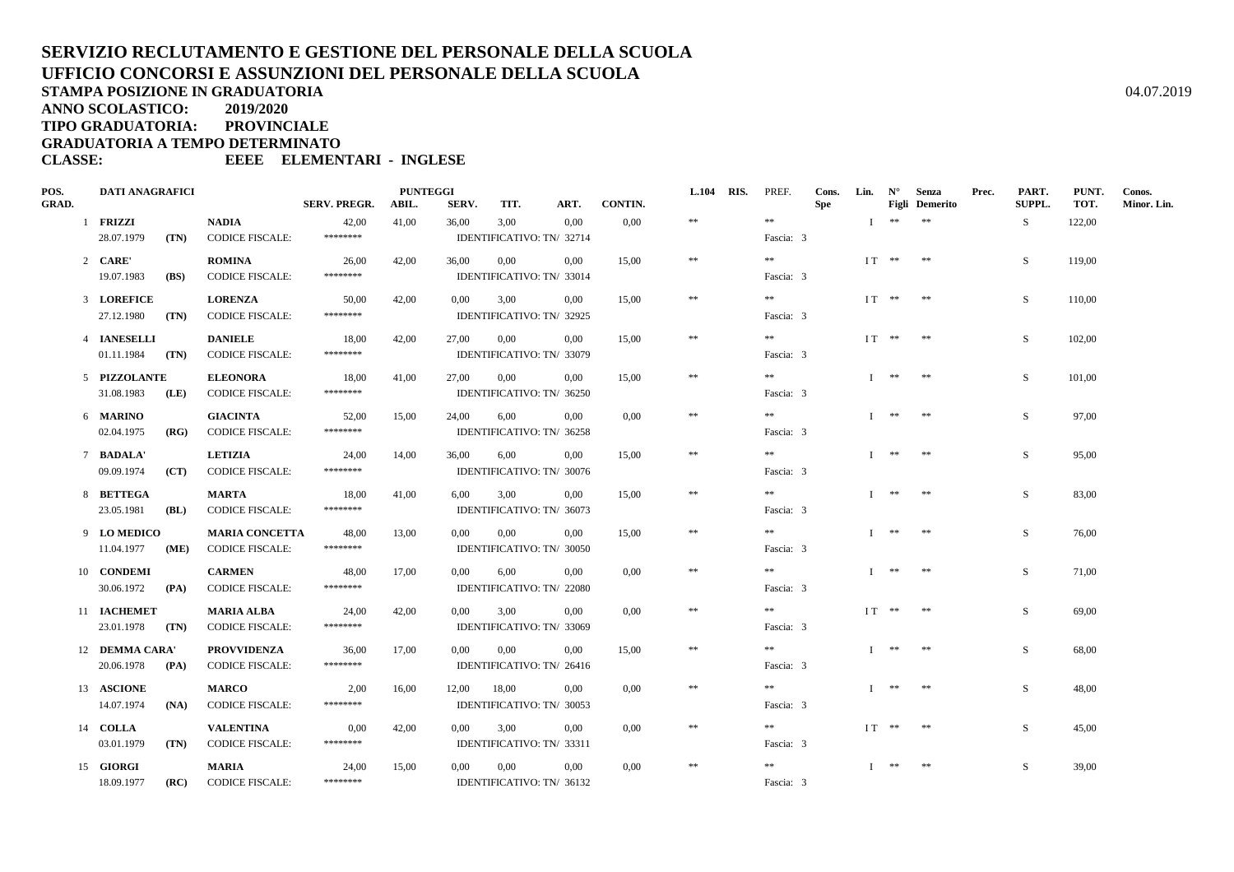**ANNO SCOLASTICO:2019/2020**

**TIPO GRADUATORIA: PROVINCIALE**

**GRADUATORIA A TEMPO DETERMINATO**

| POS.         | <b>DATI ANAGRAFICI</b> |      |                        | <b>PUNTEGGI</b> |       |                           |                           |                           |       |            | L.104 RIS. | PREF.      | Cons. | Lin.         | $N^{\circ}$           | Senza      | Prec.  | PART.        | PUNT.       | Conos. |
|--------------|------------------------|------|------------------------|-----------------|-------|---------------------------|---------------------------|---------------------------|-------|------------|------------|------------|-------|--------------|-----------------------|------------|--------|--------------|-------------|--------|
| <b>GRAD.</b> |                        |      | <b>SERV. PREGR.</b>    | ABIL.           | SERV. | TIT.                      | ART.                      | CONTIN.                   |       |            |            | <b>Spe</b> |       |              | <b>Figli</b> Demerito |            | SUPPL. | TOT.         | Minor. Lin. |        |
|              | 1 FRIZZI               |      | <b>NADIA</b>           | 42,00           | 41,00 | 36,00                     | 3,00                      | 0,00                      | 0,00  | $\pm\pm$   |            | $\pm\pm$   |       | $\mathbf{I}$ | $\pm\pm$              | $\ast\ast$ |        | S            | 122,00      |        |
|              | 28.07.1979             | (TN) | <b>CODICE FISCALE:</b> | ********        |       | IDENTIFICATIVO: TN/ 32714 |                           |                           |       |            |            | Fascia: 3  |       |              |                       |            |        |              |             |        |
|              | 2 CARE'                |      | <b>ROMINA</b>          | 26,00           | 42,00 | 36,00                     | 0.00                      | 0.00                      | 15,00 | $\pm\pm$   |            | $\pm\pm$   |       |              | $IT **$ **            |            |        | S            | 119.00      |        |
|              | 19.07.1983             | (BS) | <b>CODICE FISCALE:</b> | ********        |       |                           | IDENTIFICATIVO: TN/ 33014 |                           |       |            |            | Fascia: 3  |       |              |                       |            |        |              |             |        |
|              | 3 LOREFICE             |      | <b>LORENZA</b>         | 50,00           | 42,00 | $0.00\,$                  | 3,00                      | $0.00\,$                  | 15,00 | $\ast$     |            | $***$      |       |              | $IT **$ **            |            |        | S            | 110,00      |        |
|              | 27.12.1980             | (TN) | <b>CODICE FISCALE:</b> | ********        |       |                           | IDENTIFICATIVO: TN/ 32925 |                           |       |            |            | Fascia: 3  |       |              |                       |            |        |              |             |        |
|              | 4 IANESELLI            |      | <b>DANIELE</b>         | 18,00           | 42,00 | 27,00                     | $0.00\,$                  | $0.00\,$                  | 15.00 | $\ast$     |            | **         |       |              | $IT$ ** **            |            |        | S            | 102,00      |        |
|              | 01.11.1984             | (TN) | <b>CODICE FISCALE:</b> | ********        |       |                           | IDENTIFICATIVO: TN/ 33079 |                           |       |            |            | Fascia: 3  |       |              |                       |            |        |              |             |        |
|              | 5 PIZZOLANTE           |      | <b>ELEONORA</b>        | 18.00           | 41,00 | 27.00                     | $0.00\,$                  | $0.00\,$                  | 15.00 | $\ast$     |            | $\ast\ast$ |       |              | $I$ **                | **         |        | S.           | 101.00      |        |
|              | 31.08.1983             | (LE) | <b>CODICE FISCALE:</b> | ********        |       |                           | IDENTIFICATIVO: TN/ 36250 |                           |       |            |            | Fascia: 3  |       |              |                       |            |        |              |             |        |
|              | 6 MARINO               |      | <b>GIACINTA</b>        | 52.00           | 15,00 | 24,00                     | 6,00                      | 0.00                      | 0.00  | $\ast\ast$ |            | $\pm\pm$   |       | $\mathbf{I}$ | **                    | **         |        | S.           | 97,00       |        |
|              | 02.04.1975             | (RG) | <b>CODICE FISCALE:</b> | ********        |       |                           | IDENTIFICATIVO: TN/ 36258 |                           |       |            |            | Fascia: 3  |       |              |                       |            |        |              |             |        |
|              | 7 BADALA'              |      | <b>LETIZIA</b>         | 24,00           | 14,00 | 36,00                     | 6,00                      | 0.00                      | 15,00 | $\ast\ast$ |            | $\pm\pm$   |       |              | $I$ **                | $**$       |        | S            | 95,00       |        |
|              | 09.09.1974             | (CT) | <b>CODICE FISCALE:</b> | ********        |       |                           | IDENTIFICATIVO: TN/ 30076 |                           |       |            |            | Fascia: 3  |       |              |                       |            |        |              |             |        |
|              | 8 BETTEGA              |      | MARTA                  | 18,00           | 41,00 | 6,00                      | 3,00                      | $0.00\,$                  | 15,00 | $\ast\ast$ |            | $***$      |       |              | $I$ **                | **         |        | S            | 83,00       |        |
|              | 23.05.1981             | (BL) | <b>CODICE FISCALE:</b> | ********        |       |                           | IDENTIFICATIVO: TN/ 36073 |                           |       |            |            | Fascia: 3  |       |              |                       |            |        |              |             |        |
|              | 9 LOMEDICO             |      | <b>MARIA CONCETTA</b>  | 48,00           | 13,00 | $0.00\,$                  | 0,00                      | $0.00\,$                  | 15,00 | $\ast$     |            | **         |       |              | T ** **               |            |        | S            | 76,00       |        |
|              | 11.04.1977             | (ME) | <b>CODICE FISCALE:</b> | ********        |       |                           | IDENTIFICATIVO: TN/ 30050 |                           |       |            |            | Fascia: 3  |       |              |                       |            |        |              |             |        |
|              | 10 CONDEMI             |      | <b>CARMEN</b>          | 48,00           | 17,00 | 0.00                      | 6,00                      | 0.00                      | 0,00  | $\ast$     |            | $* *$      |       |              | $I$ ** **             |            |        | S            | 71,00       |        |
|              | 30.06.1972             | (PA) | <b>CODICE FISCALE:</b> | ********        |       |                           | IDENTIFICATIVO: TN/ 22080 |                           |       |            |            | Fascia: 3  |       |              |                       |            |        |              |             |        |
|              | 11 IACHEMET            |      | <b>MARIA ALBA</b>      | 24,00           | 42,00 | $0.00\,$                  | 3,00                      | 0.00                      | 0.00  | $\ast\ast$ |            | **         |       |              | $IT$ ** **            |            |        | S.           | 69,00       |        |
|              | 23.01.1978             | (TN) | <b>CODICE FISCALE:</b> | ********        |       |                           | IDENTIFICATIVO: TN/ 33069 |                           |       |            |            | Fascia: 3  |       |              |                       |            |        |              |             |        |
|              | 12 DEMMA CARA'         |      | <b>PROVVIDENZA</b>     | 36,00           | 17,00 | $0.00\,$                  | $0.00\,$                  | 0.00                      | 15,00 | $\ast\ast$ |            | $***$      |       |              | $I$ **                | **         |        | <sub>S</sub> | 68,00       |        |
|              | 20.06.1978             | (PA) | <b>CODICE FISCALE:</b> | ********        |       |                           |                           | IDENTIFICATIVO: TN/ 26416 |       |            |            | Fascia: 3  |       |              |                       |            |        |              |             |        |
|              | 13 ASCIONE             |      | <b>MARCO</b>           | 2,00            | 16,00 | 12,00                     | 18,00                     | 0.00                      | 0,00  | $\ast\ast$ |            | $* *$      |       |              | $I$ **                | $\pm\pm$   |        | S            | 48,00       |        |
|              | 14.07.1974             | (NA) | <b>CODICE FISCALE:</b> | ********        |       |                           | IDENTIFICATIVO: TN/ 30053 |                           |       |            |            | Fascia: 3  |       |              |                       |            |        |              |             |        |
|              | 14 COLLA               |      | <b>VALENTINA</b>       | 0,00            | 42,00 | $0.00 \qquad 3.00$        |                           | 0.00                      | 0.00  | $\pm\pm$   |            | $\pm\pm$   |       |              | $IT$ ** **            |            |        | S            | 45.00       |        |
|              | 03.01.1979             | (TN) | <b>CODICE FISCALE:</b> | ********        |       |                           | IDENTIFICATIVO: TN/33311  |                           |       |            |            | Fascia: 3  |       |              |                       |            |        |              |             |        |
|              | 15 GIORGI              |      | <b>MARIA</b>           | 24,00           | 15,00 | 0.00                      | 0,00                      | 0.00                      | 0.00  | $\ast\ast$ |            | $\ast\ast$ |       |              | $I$ **                | **         |        | S            | 39,00       |        |
|              | 18.09.1977             | (RC) | <b>CODICE FISCALE:</b> | ********        |       |                           | IDENTIFICATIVO: TN/ 36132 |                           |       |            |            | Fascia: 3  |       |              |                       |            |        |              |             |        |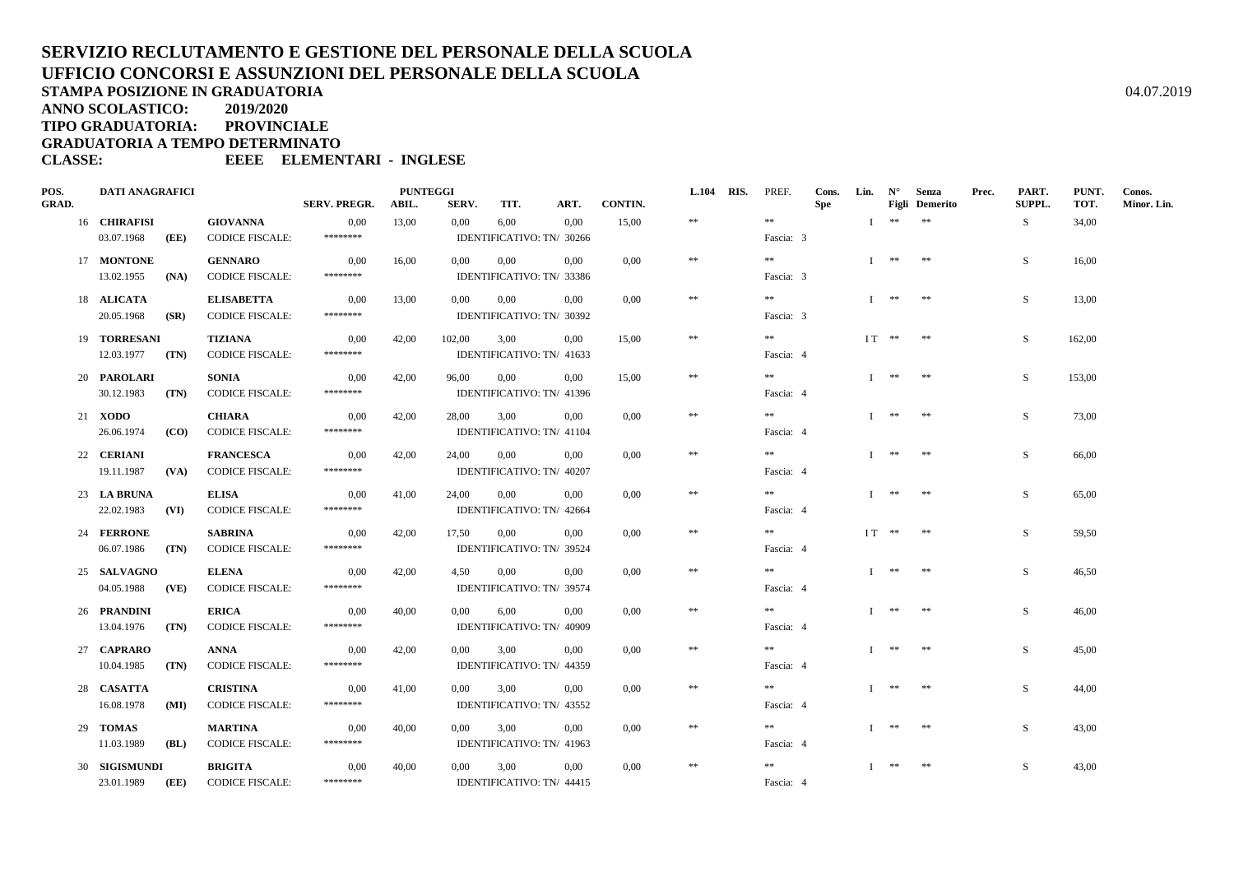**ANNO SCOLASTICO:2019/2020**

**TIPO GRADUATORIA: PROVINCIALE**

**GRADUATORIA A TEMPO DETERMINATO**

| POS.<br>GRAD. | <b>DATI ANAGRAFICI</b>       |      | <b>PUNTEGGI</b><br><b>SERV. PREGR.</b><br><b>CONTIN.</b><br>SERV.<br>ART.<br>ABIL.<br>TIT. |                  |       |                |          |                                       | L.104 RIS. | PREF.      | Cons.<br><b>Spe</b>     | Lin. | $N^{\circ}$ | Senza<br><b>Figli</b> Demerito | Prec.      | PART.<br><b>SUPPL.</b> | PUNT.<br>TOT. | Conos.<br>Minor. Lin. |  |
|---------------|------------------------------|------|--------------------------------------------------------------------------------------------|------------------|-------|----------------|----------|---------------------------------------|------------|------------|-------------------------|------|-------------|--------------------------------|------------|------------------------|---------------|-----------------------|--|
|               | 16 CHIRAFISI                 |      | <b>GIOVANNA</b>                                                                            | 0,00             | 13,00 | $0.00\,$       | 6,00     | 0.00                                  | 15,00      | $\pm\pm$   | $\gg \gg$               |      |             | $I$ **                         | $\ast\ast$ |                        | S.            | 34,00                 |  |
|               | 03.07.1968                   | (EE) | <b>CODICE FISCALE:</b>                                                                     | ********         |       |                |          | IDENTIFICATIVO: TN/ 30266             |            |            | Fascia: 3               |      |             |                                |            |                        |               |                       |  |
|               | 17 MONTONE                   |      | <b>GENNARO</b>                                                                             | 0,00             | 16,00 | $0.00\,$       | $0.00\,$ | 0.00                                  | 0.00       | $\ast\ast$ | **                      |      |             | T ** **                        |            |                        | S.            | 16.00                 |  |
|               | 13.02.1955                   | (NA) | <b>CODICE FISCALE:</b>                                                                     | ********         |       |                |          | IDENTIFICATIVO: TN/ 33386             |            |            | Fascia: 3               |      |             |                                |            |                        |               |                       |  |
|               | 18 ALICATA                   |      | <b>ELISABETTA</b>                                                                          | 0.00             | 13,00 | $0.00\,$       | $0.00\,$ | 0.00                                  | 0,00       | $\ast\ast$ | $\pm\pm$                |      |             | $I$ **                         | $\pm\pm$   |                        | S.            | 13,00                 |  |
|               | 20.05.1968                   | (SR) | <b>CODICE FISCALE:</b>                                                                     | ********         |       |                |          | IDENTIFICATIVO: TN/ 30392             |            |            | Fascia: 3               |      |             |                                |            |                        |               |                       |  |
|               | 19 TORRESANI                 |      | TIZIANA                                                                                    | 0,00             | 42,00 | 102,00         | 3.00     | 0,00                                  | 15.00      | $\ast\ast$ | **                      |      |             | $IT$ ** **                     |            |                        | S.            | 162,00                |  |
|               | 12.03.1977                   | (TN) | <b>CODICE FISCALE:</b>                                                                     | ********         |       |                |          | IDENTIFICATIVO: TN/ 41633             |            |            | Fascia: 4               |      |             |                                |            |                        |               |                       |  |
|               | 20 PAROLARI                  |      | SONIA                                                                                      | 0.00<br>******** | 42,00 | 96,00          | $0.00\,$ | $0.00\,$                              | 15.00      | $\ast\ast$ | $***$                   |      |             | Ⅰ ** **                        |            |                        | S             | 153,00                |  |
|               | 30.12.1983                   | (TN) | <b>CODICE FISCALE:</b>                                                                     |                  |       |                |          | IDENTIFICATIVO: TN/ 41396             |            |            | Fascia: 4               |      |             |                                |            |                        |               |                       |  |
|               | 21 <b>XODO</b><br>26.06.1974 | (CO) | CHIARA<br><b>CODICE FISCALE:</b>                                                           | 0,00<br>******** | 42,00 | 28,00          | 3,00     | 0.00<br>IDENTIFICATIVO: TN/ 41104     | 0,00       | $\ast\ast$ | $* *$<br>Fascia: 4      |      |             | T ** **                        |            |                        | S             | 73,00                 |  |
|               |                              |      |                                                                                            |                  |       |                |          |                                       |            | $\ast\ast$ | $\gg \gg$               |      |             | $**$                           | **         |                        |               |                       |  |
|               | 22 CERIANI<br>19.11.1987     | (VA) | <b>FRANCESCA</b><br><b>CODICE FISCALE:</b>                                                 | 0,00<br>******** | 42,00 | 24,00          | 0,00     | 0,00<br>IDENTIFICATIVO: TN/ 40207     | $0.00\,$   |            | Fascia: 4               |      |             |                                |            |                        | S             | 66,00                 |  |
|               | 23 LA BRUNA                  |      | <b>ELISA</b>                                                                               | 0,00             | 41,00 | 24,00          | $0.00\,$ | 0.00                                  | $0.00\,$   | $\ast\ast$ | $\ast\ast$              |      |             | $I$ **                         | $**$       |                        | S             | 65,00                 |  |
|               | 22.02.1983                   | (VI) | <b>CODICE FISCALE:</b>                                                                     | ********         |       |                |          | IDENTIFICATIVO: TN/ 42664             |            |            | Fascia: 4               |      |             |                                |            |                        |               |                       |  |
|               | 24 FERRONE                   |      | <b>SABRINA</b>                                                                             | 0,00             | 42,00 | 17.50          | 0.00     | 0,00                                  | 0.00       | $\ast\ast$ | $* *$                   |      |             | $IT$ ** **                     |            |                        | S             | 59.50                 |  |
|               | 06.07.1986                   | (TN) | <b>CODICE FISCALE:</b>                                                                     | ********         |       |                |          | IDENTIFICATIVO: TN/ 39524             |            |            | Fascia: 4               |      |             |                                |            |                        |               |                       |  |
|               | 25 SALVAGNO                  |      | <b>ELENA</b>                                                                               | 0,00             | 42,00 | 4,50           | $0.00\,$ | 0.00                                  | $0.00\,$   | $\ast\ast$ | $* *$                   |      |             | T ** **                        |            |                        | S             | 46,50                 |  |
|               | 04.05.1988                   | (VE) | <b>CODICE FISCALE:</b>                                                                     | ********         |       |                |          | IDENTIFICATIVO: TN/ 39574             |            |            | Fascia: 4               |      |             |                                |            |                        |               |                       |  |
|               | 26 PRANDINI                  |      | <b>ERICA</b>                                                                               | 0,00             | 40,00 | 0,00           | 6,00     | 0.00                                  | 0,00       | $\pm\pm$   | $* *$                   |      |             | T ** **                        |            |                        | S.            | 46.00                 |  |
|               | 13.04.1976                   | (TN) | <b>CODICE FISCALE:</b>                                                                     | ********         |       |                |          | IDENTIFICATIVO: TN/ 40909             |            |            | Fascia: 4               |      |             |                                |            |                        |               |                       |  |
|               | 27 CAPRARO                   |      | <b>ANNA</b>                                                                                | 0,00             | 42,00 | 0,00           | 3,00     | 0.00                                  | $0.00\,$   | $\ast\ast$ | $* *$                   |      |             | $I$ **                         | **         |                        | S             | 45.00                 |  |
|               | 10.04.1985                   | (TN) | <b>CODICE FISCALE:</b>                                                                     | ********         |       |                |          | IDENTIFICATIVO: TN/ 44359             |            |            | Fascia: 4               |      |             |                                |            |                        |               |                       |  |
|               | 28 CASATTA                   |      | <b>CRISTINA</b>                                                                            | 0.00<br>******** | 41,00 | $0.00^{\circ}$ | 3.00     | 0.00                                  | 0.00       | $**$       | **                      |      |             | **                             | $**$       |                        | S.            | 44.00                 |  |
|               | 16.08.1978                   | (MI) | <b>CODICE FISCALE:</b>                                                                     |                  |       |                |          | IDENTIFICATIVO: TN/ 43552             |            |            | Fascia: 4               |      |             |                                |            |                        |               |                       |  |
|               | 29 TOMAS<br>11.03.1989       | (BL) | <b>MARTINA</b><br><b>CODICE FISCALE:</b>                                                   | 0,00<br>******** | 40.00 | 0.00           | 3.00     | 0.00<br>IDENTIFICATIVO: TN/ 41963     | $0.00\,$   | $\ast\ast$ | $* *$<br>Fascia: 4      |      |             | $I$ ** **                      |            |                        | S             | 43.00                 |  |
|               |                              |      |                                                                                            |                  |       |                |          |                                       |            |            |                         |      |             |                                |            |                        |               |                       |  |
|               | 30 SIGISMUNDI<br>23.01.1989  | (EE) | <b>BRIGITA</b><br><b>CODICE FISCALE:</b>                                                   | 0,00<br>******** | 40,00 | $0.00\,$       | 3,00     | $0.00\,$<br>IDENTIFICATIVO: TN/ 44415 | 0,00       | $\ast$     | $\ast\ast$<br>Fascia: 4 |      |             | $I$ **                         | **         |                        | S             | 43,00                 |  |
|               |                              |      |                                                                                            |                  |       |                |          |                                       |            |            |                         |      |             |                                |            |                        |               |                       |  |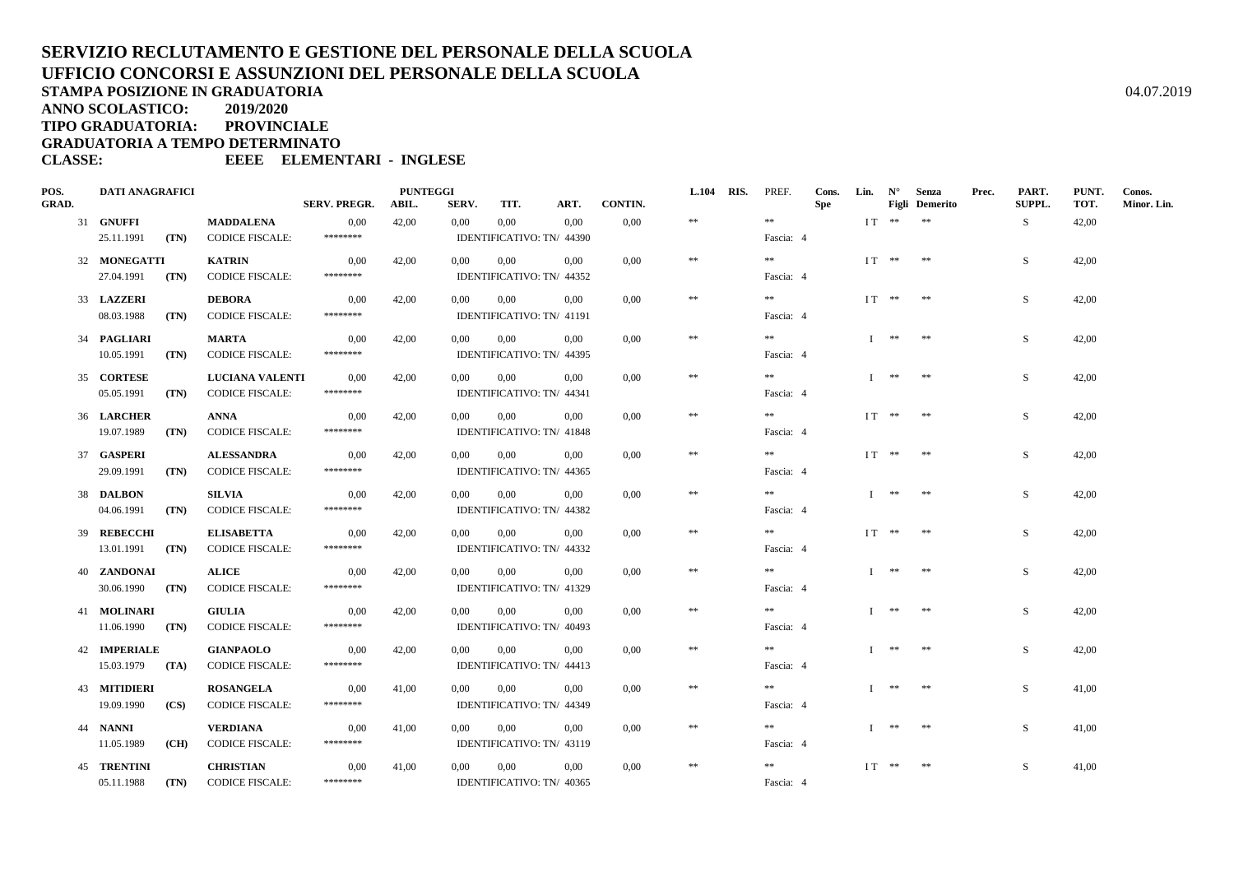**ANNO SCOLASTICO:2019/2020**

**TIPO GRADUATORIA: PROVINCIALE**

**GRADUATORIA A TEMPO DETERMINATO**

| POS.         | <b>DATI ANAGRAFICI</b>   |      |                                            | <b>PUNTEGGI</b>  |       |                |                                       |          |          |            | L.104 RIS. PREF. | Cons. | Lin. $N^{\circ}$ |                       | Senza | Prec.  | PART. | PUNT.       | Conos. |
|--------------|--------------------------|------|--------------------------------------------|------------------|-------|----------------|---------------------------------------|----------|----------|------------|------------------|-------|------------------|-----------------------|-------|--------|-------|-------------|--------|
| <b>GRAD.</b> |                          |      | <b>SERV. PREGR.</b>                        | ABIL.            | SERV. | TIT.           | ART.                                  | CONTIN.  |          |            | <b>Spe</b>       |       |                  | <b>Figli</b> Demerito |       | SUPPL. | TOT.  | Minor. Lin. |        |
|              | 31 GNUFFI                |      | <b>MADDALENA</b>                           | 0.00             | 42,00 | 0.00           | $0.00\,$                              | 0.00     | 0,00     | $\pm\pm$   | $\pm\pm$         |       |                  | $IT$ ** **            |       |        | S.    | 42,00       |        |
|              | 25.11.1991               | (TN) | <b>CODICE FISCALE:</b>                     | ********         |       | Fascia: 4      |                                       |          |          |            |                  |       |                  |                       |       |        |       |             |        |
|              | 32 MONEGATTI             |      | <b>KATRIN</b>                              | 0,00             | 42,00 | $0.00\,$       | $0.00\,$                              | 0.00     | $0.00\,$ | $\pm\pm$   | $* *$            |       |                  | $IT$ ** **            |       |        | S.    | 42.00       |        |
|              | 27.04.1991 (TN)          |      | <b>CODICE FISCALE:</b>                     | ********         |       |                | IDENTIFICATIVO: TN/ 44352             |          |          |            | Fascia: 4        |       |                  |                       |       |        |       |             |        |
|              | 33 LAZZERI               |      | <b>DEBORA</b>                              | 0,00             | 42,00 | $0.00^{\circ}$ | $0.00\,$                              | $0.00\,$ | 0,00     | $\ast$     | **               |       |                  | $IT$ ** **            |       |        | S     | 42,00       |        |
|              | 08.03.1988<br>(TN)       |      | <b>CODICE FISCALE:</b>                     | ********         |       |                | IDENTIFICATIVO: TN/ 41191             |          |          |            | Fascia: 4        |       |                  |                       |       |        |       |             |        |
|              | 34 PAGLIARI              |      | MARTA                                      | 0.00             | 42.00 | $0.00\,$       | 0.00                                  | 0.00     | 0.00     | $\ast$     | $* *$            |       |                  | T ** **               |       |        | S.    | 42.00       |        |
|              | 10.05.1991               | (TN) | <b>CODICE FISCALE:</b>                     | ********         |       |                | IDENTIFICATIVO: TN/ 44395             |          |          |            | Fascia: 4        |       |                  |                       |       |        |       |             |        |
|              |                          |      |                                            |                  |       |                |                                       |          |          | $\ast$     | **               |       |                  | $I$ ** **             |       |        |       |             |        |
|              | 35 CORTESE<br>05.05.1991 | (TN) | LUCIANA VALENTI<br><b>CODICE FISCALE:</b>  | 0.00<br>******** | 42.00 | $0.00\,$       | $0.00\,$<br>IDENTIFICATIVO: TN/ 44341 | $0.00\,$ | $0.00\,$ |            | Fascia: 4        |       |                  |                       |       |        | S.    | 42.00       |        |
|              |                          |      |                                            |                  |       |                |                                       |          |          |            |                  |       |                  |                       |       |        |       |             |        |
|              | 36 LARCHER               |      | <b>ANNA</b>                                | 0.00<br>******** | 42,00 | 0.00           | $0.00\,$                              | 0.00     | $0.00\,$ | $**$       | $***$            |       |                  | $IT$ ** **            |       |        | S.    | 42.00       |        |
|              | 19.07.1989               | (TN) | <b>CODICE FISCALE:</b>                     |                  |       |                | IDENTIFICATIVO: TN/ 41848             |          |          |            | Fascia: 4        |       |                  |                       |       |        |       |             |        |
|              | 37 GASPERI               |      | <b>ALESSANDRA</b>                          | 0,00             | 42,00 | $0.00\,$       | $0.00\,$                              | 0.00     | 0.00     | $\pm\pm$   | **               |       |                  | IT ** **              |       |        | S.    | 42.00       |        |
|              | 29.09.1991               | (TN) | <b>CODICE FISCALE:</b>                     | ********         |       |                | IDENTIFICATIVO: TN/ 44365             |          |          |            | Fascia: 4        |       |                  |                       |       |        |       |             |        |
|              | 38 DALBON                |      | SILVIA                                     | 0,00             | 42,00 | 0,00           | $0.00\,$                              | 0.00     | $0.00\,$ | $\ast$     | **               |       |                  | Ⅰ ** **               |       |        | S.    | 42,00       |        |
|              | 04.06.1991               | (TN) | <b>CODICE FISCALE:</b>                     | ********         |       |                | IDENTIFICATIVO: TN/ 44382             |          |          |            | Fascia: 4        |       |                  |                       |       |        |       |             |        |
|              | 39 REBECCHI              |      | <b>ELISABETTA</b>                          | 0,00             | 42,00 | $0.00\,$       | 0,00                                  | $0.00\,$ | 0,00     | $\ast$     | **               |       |                  | $IT$ ** **            |       |        | S.    | 42,00       |        |
|              | 13.01.1991               | (TN) | <b>CODICE FISCALE:</b>                     | ********         |       |                | IDENTIFICATIVO: TN/ 44332             |          |          |            | Fascia: 4        |       |                  |                       |       |        |       |             |        |
|              | 40 ZANDONAI              |      | <b>ALICE</b>                               | 0,00             | 42,00 | $0.00\,$       | $0.00\,$                              | 0.00     | $0.00\,$ | $\ast$     | **               |       |                  | $I$ ** **             |       |        | S     | 42,00       |        |
|              | 30.06.1990 (TN)          |      | <b>CODICE FISCALE:</b>                     | ********         |       |                | IDENTIFICATIVO: TN/ 41329             |          |          |            | Fascia: 4        |       |                  |                       |       |        |       |             |        |
|              | 41 MOLINARI              |      | <b>GIULIA</b>                              | 0,00             | 42,00 | $0.00\,$       | 0,00                                  | 0.00     | 0.00     | $\ast$     | **               |       |                  | $I$ ** **             |       |        | S.    | 42.00       |        |
|              | 11.06.1990               | (TN) | <b>CODICE FISCALE:</b>                     | ********         |       |                | IDENTIFICATIVO: TN/ 40493             |          |          |            | Fascia: 4        |       |                  |                       |       |        |       |             |        |
|              | 42 IMPERIALE             |      | <b>GIANPAOLO</b>                           | 0,00             | 42,00 | $0.00\,$       | $0.00\,$                              | 0.00     | $0.00\,$ | $\ast\ast$ | **               |       |                  | T ** **               |       |        | S.    | 42.00       |        |
|              | $15.03.1979$ (TA)        |      | <b>CODICE FISCALE:</b>                     | ********         |       |                | IDENTIFICATIVO: TN/ 44413             |          |          |            | Fascia: 4        |       |                  |                       |       |        |       |             |        |
|              | 43 MITIDIERI             |      |                                            |                  |       | 0.00           | $0.00\,$                              | 0.00     |          | $\pm\pm$   | **               |       |                  | $I$ **                | **    |        | S.    |             |        |
|              | $19.09.1990$ (CS)        |      | <b>ROSANGELA</b><br><b>CODICE FISCALE:</b> | 0,00<br>******** | 41,00 |                | IDENTIFICATIVO: TN/ 44349             |          | $0.00\,$ |            | Fascia: 4        |       |                  |                       |       |        |       | 41,00       |        |
|              |                          |      |                                            |                  |       |                |                                       |          |          |            |                  |       |                  |                       |       |        |       |             |        |
|              | 44 NANNI                 |      | <b>VERDIANA</b>                            | 0,00             | 41,00 | $0.00\,$       | $0.00\,$                              | 0.00     | $0.00\,$ | $\pm\pm$   | $* *$            |       |                  | T ** **               |       |        | S.    | 41.00       |        |
|              | 11.05.1989               | (CH) | <b>CODICE FISCALE:</b>                     | ********         |       |                | IDENTIFICATIVO: TN/ 43119             |          |          |            | Fascia: 4        |       |                  |                       |       |        |       |             |        |
|              | <b>45 TRENTINI</b>       |      | <b>CHRISTIAN</b>                           | 0,00             | 41,00 | 0,00           | 0,00                                  | 0.00     | $0.00\,$ | $\ast\ast$ | **               |       |                  | $IT$ ** **            |       |        | S.    | 41,00       |        |
|              | 05.11.1988               | (TN) | <b>CODICE FISCALE:</b>                     | ********         |       |                | IDENTIFICATIVO: TN/ 40365             |          |          |            | Fascia: 4        |       |                  |                       |       |        |       |             |        |